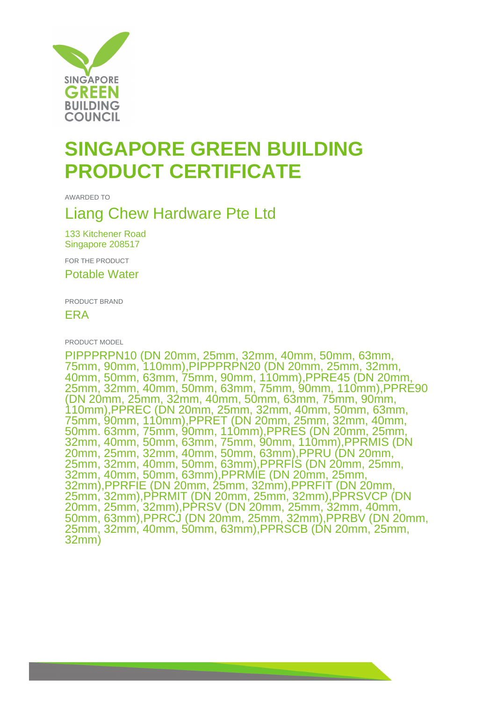

## **SINGAPORE GREEN BUILDING PRODUCT CERTIFICATE**

AWARDED TO

## Liang Chew Hardware Pte Ltd

133 Kitchener Road Singapore 208517

FOR THE PRODUCT

Potable Water

PRODUCT BRAND

ERA

PRODUCT MODEL

PIPPPRPN10 (DN 20mm, 25mm, 32mm, 40mm, 50mm, 63mm, 75mm, 90mm, 110mm),PIPPPRPN20 (DN 20mm, 25mm, 32mm, 40mm, 50mm, 63mm, 75mm, 90mm, 110mm),PPRE45 (DN 20mm, 25mm, 32mm, 40mm, 50mm, 63mm, 75mm, 90mm, 110mm),PPRE90 (DN 20mm, 25mm, 32mm, 40mm, 50mm, 63mm, 75mm, 90mm, 110mm),PPREC (DN 20mm, 25mm, 32mm, 40mm, 50mm, 63mm, 75mm, 90mm, 110mm),PPRET (DN 20mm, 25mm, 32mm, 40mm, 50mm. 63mm, 75mm, 90mm, 110mm),PPRES (DN 20mm, 25mm, 32mm, 40mm, 50mm, 63mm, 75mm, 90mm, 110mm),PPRMIS (DN 20mm, 25mm, 32mm, 40mm, 50mm, 63mm),PPRU (DN 20mm, 25mm, 32mm, 40mm, 50mm, 63mm),PPRFIS (DN 20mm, 25mm, 32mm, 40mm, 50mm, 63mm),PPRMIE (DN 20mm, 25mm, 32mm),PPRFIE (DN 20mm, 25mm, 32mm),PPRFIT (DN 20mm, 25mm, 32mm),PPRMIT (DN 20mm, 25mm, 32mm),PPRSVCP (DN 20mm, 25mm, 32mm),PPRSV (DN 20mm, 25mm, 32mm, 40mm, 50mm, 63mm),PPRCJ (DN 20mm, 25mm, 32mm),PPRBV (DN 20mm, 25mm, 32mm, 40mm, 50mm, 63mm),PPRSCB (DN 20mm, 25mm, 32mm)